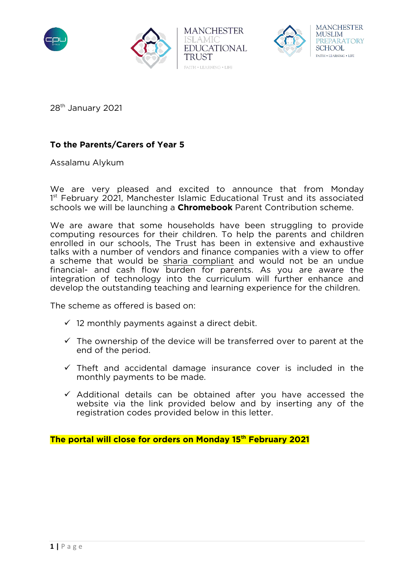





28th January 2021

# **To the Parents/Carers of Year 5**

Assalamu Alykum

We are very pleased and excited to announce that from Monday 1<sup>st</sup> February 2021, Manchester Islamic Educational Trust and its associated schools we will be launching a **Chromebook** Parent Contribution scheme.

We are aware that some households have been struggling to provide computing resources for their children. To help the parents and children enrolled in our schools, The Trust has been in extensive and exhaustive talks with a number of vendors and finance companies with a view to offer a scheme that would be sharia compliant and would not be an undue financial- and cash flow burden for parents. As you are aware the integration of technology into the curriculum will further enhance and develop the outstanding teaching and learning experience for the children.

The scheme as offered is based on:

- $\checkmark$  12 monthly payments against a direct debit.
- $\checkmark$  The ownership of the device will be transferred over to parent at the end of the period.
- $\checkmark$  Theft and accidental damage insurance cover is included in the monthly payments to be made.
- $\checkmark$  Additional details can be obtained after you have accessed the website via the link provided below and by inserting any of the registration codes provided below in this letter.

**The portal will close for orders on Monday 15th February 2021**